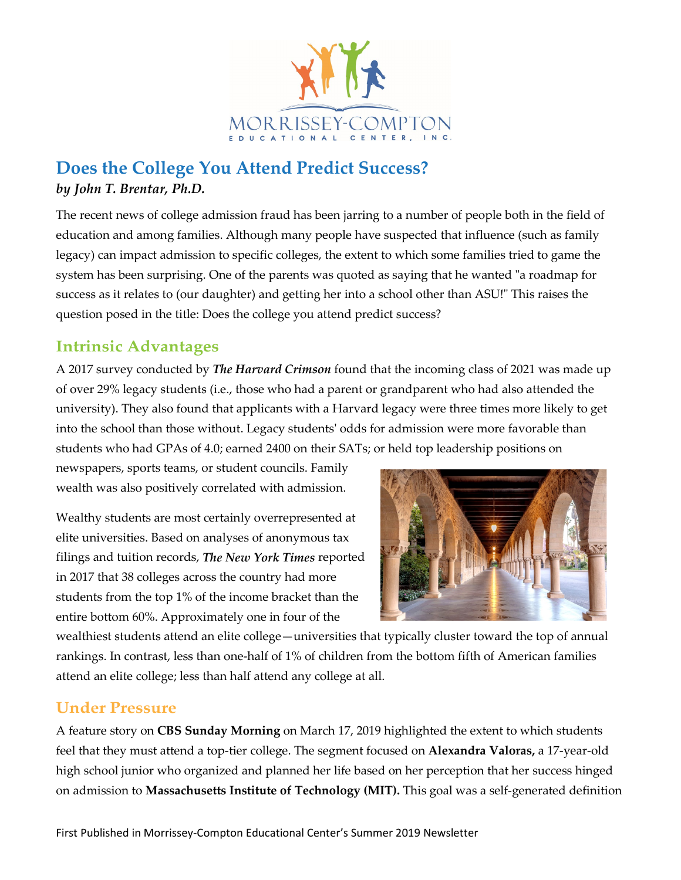

## **Does the College You Attend Predict Success?** *by John T. Brentar, Ph.D.*

The recent news of college admission fraud has been jarring to a number of people both in the field of education and among families. Although many people have suspected that influence (such as family legacy) can impact admission to specific colleges, the extent to which some families tried to game the system has been surprising. One of the parents was quoted as saying that he wanted "a roadmap for success as it relates to (our daughter) and getting her into a school other than ASU!" This raises the question posed in the title: Does the college you attend predict success?

### **Intrinsic Advantages**

A 2017 survey conducted by *The Harvard Crimson* found that the incoming class of 2021 was made up of over 29% legacy students (i.e., those who had a parent or grandparent who had also attended the university). They also found that applicants with a Harvard legacy were three times more likely to get into the school than those without. Legacy students' odds for admission were more favorable than students who had GPAs of 4.0; earned 2400 on their SATs; or held top leadership positions on

newspapers, sports teams, or student councils. Family wealth was also positively correlated with admission.

Wealthy students are most certainly overrepresented at elite universities. Based on analyses of anonymous tax filings and tuition records, *The New York Times* reported in 2017 that 38 colleges across the country had more students from the top 1% of the income bracket than the entire bottom 60%. Approximately one in four of the



wealthiest students attend an elite college—universities that typically cluster toward the top of annual rankings. In contrast, less than one-half of 1% of children from the bottom fifth of American families attend an elite college; less than half attend any college at all.

#### **Under Pressure**

A feature story on **CBS Sunday Morning** on March 17, 2019 highlighted the extent to which students feel that they must attend a top-tier college. The segment focused on **Alexandra Valoras,** a 17-year-old high school junior who organized and planned her life based on her perception that her success hinged on admission to **Massachusetts Institute of Technology (MIT).** This goal was a self-generated definition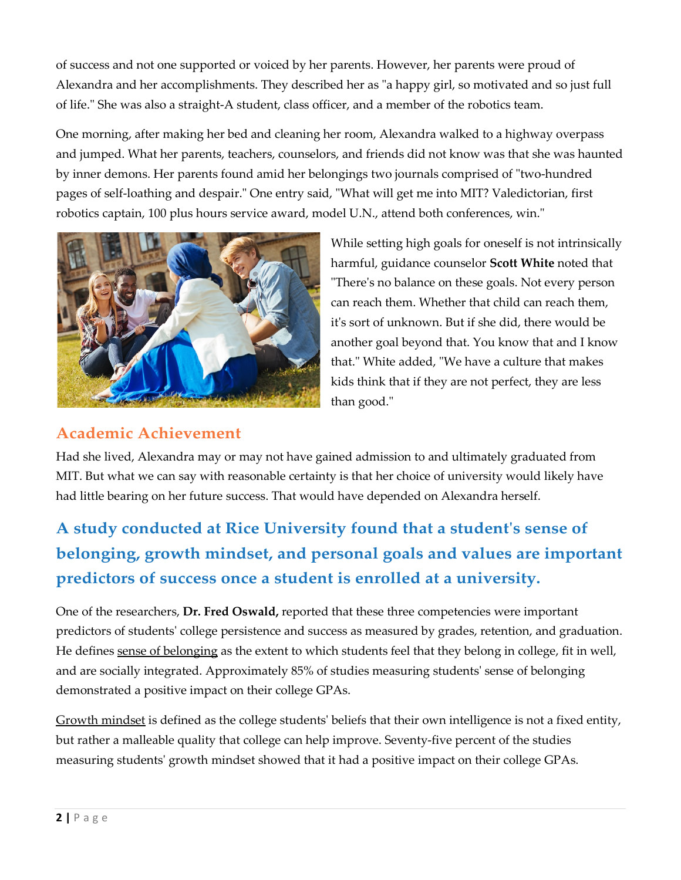of success and not one supported or voiced by her parents. However, her parents were proud of Alexandra and her accomplishments. They described her as "a happy girl, so motivated and so just full of life." She was also a straight-A student, class officer, and a member of the robotics team.

One morning, after making her bed and cleaning her room, Alexandra walked to a highway overpass and jumped. What her parents, teachers, counselors, and friends did not know was that she was haunted by inner demons. Her parents found amid her belongings two journals comprised of "two-hundred pages of self-loathing and despair." One entry said, "What will get me into MIT? Valedictorian, first robotics captain, 100 plus hours service award, model U.N., attend both conferences, win."



While setting high goals for oneself is not intrinsically harmful, guidance counselor **Scott White** noted that "There's no balance on these goals. Not every person can reach them. Whether that child can reach them, it's sort of unknown. But if she did, there would be another goal beyond that. You know that and I know that." White added, "We have a culture that makes kids think that if they are not perfect, they are less than good."

#### **Academic Achievement**

Had she lived, Alexandra may or may not have gained admission to and ultimately graduated from MIT. But what we can say with reasonable certainty is that her choice of university would likely have had little bearing on her future success. That would have depended on Alexandra herself.

# **A study conducted at Rice University found that a student's sense of belonging, growth mindset, and personal goals and values are important predictors of success once a student is enrolled at a university.**

One of the researchers, **Dr. Fred Oswald,** reported that these three competencies were important predictors of students' college persistence and success as measured by grades, retention, and graduation. He defines sense of belonging as the extent to which students feel that they belong in college, fit in well, and are socially integrated. Approximately 85% of studies measuring students' sense of belonging demonstrated a positive impact on their college GPAs.

Growth mindset is defined as the college students' beliefs that their own intelligence is not a fixed entity, but rather a malleable quality that college can help improve. Seventy-five percent of the studies measuring students' growth mindset showed that it had a positive impact on their college GPAs.